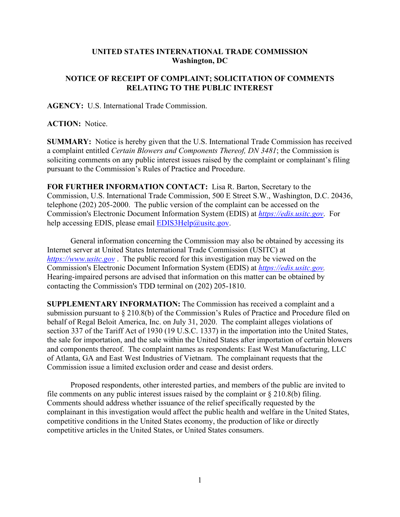## **UNITED STATES INTERNATIONAL TRADE COMMISSION Washington, DC**

## **NOTICE OF RECEIPT OF COMPLAINT; SOLICITATION OF COMMENTS RELATING TO THE PUBLIC INTEREST**

**AGENCY:** U.S. International Trade Commission.

**ACTION:** Notice.

**SUMMARY:** Notice is hereby given that the U.S. International Trade Commission has received a complaint entitled *Certain Blowers and Components Thereof, DN 3481*; the Commission is soliciting comments on any public interest issues raised by the complaint or complainant's filing pursuant to the Commission's Rules of Practice and Procedure.

**FOR FURTHER INFORMATION CONTACT:** Lisa R. Barton, Secretary to the Commission, U.S. International Trade Commission, 500 E Street S.W., Washington, D.C. 20436, telephone (202) 205-2000. The public version of the complaint can be accessed on the Commission's Electronic Document Information System (EDIS) at *[https://edis.usitc.gov](https://edis.usitc.gov/)*. For help accessing EDIS, please email [EDIS3Help@usitc.gov.](mailto:EDIS3Help@usitc.gov)

General information concerning the Commission may also be obtained by accessing its Internet server at United States International Trade Commission (USITC) at *[https://www.usitc.gov](https://www.usitc.gov/)* . The public record for this investigation may be viewed on the Commission's Electronic Document Information System (EDIS) at *[https://edis.usitc.gov.](https://edis.usitc.gov/)* Hearing-impaired persons are advised that information on this matter can be obtained by contacting the Commission's TDD terminal on (202) 205-1810.

**SUPPLEMENTARY INFORMATION:** The Commission has received a complaint and a submission pursuant to § 210.8(b) of the Commission's Rules of Practice and Procedure filed on behalf of Regal Beloit America, Inc. on July 31, 2020. The complaint alleges violations of section 337 of the Tariff Act of 1930 (19 U.S.C. 1337) in the importation into the United States, the sale for importation, and the sale within the United States after importation of certain blowers and components thereof. The complaint names as respondents: East West Manufacturing, LLC of Atlanta, GA and East West Industries of Vietnam. The complainant requests that the Commission issue a limited exclusion order and cease and desist orders.

Proposed respondents, other interested parties, and members of the public are invited to file comments on any public interest issues raised by the complaint or  $\S 210.8(b)$  filing. Comments should address whether issuance of the relief specifically requested by the complainant in this investigation would affect the public health and welfare in the United States, competitive conditions in the United States economy, the production of like or directly competitive articles in the United States, or United States consumers.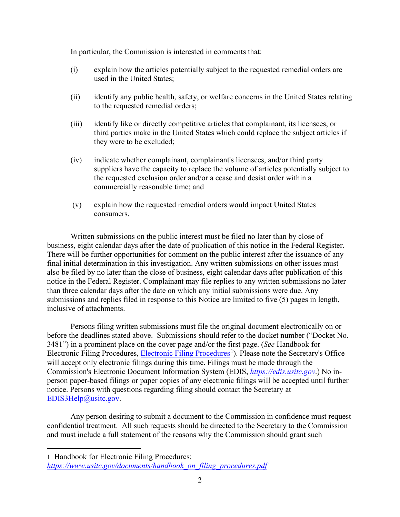In particular, the Commission is interested in comments that:

- (i) explain how the articles potentially subject to the requested remedial orders are used in the United States;
- (ii) identify any public health, safety, or welfare concerns in the United States relating to the requested remedial orders;
- (iii) identify like or directly competitive articles that complainant, its licensees, or third parties make in the United States which could replace the subject articles if they were to be excluded;
- (iv) indicate whether complainant, complainant's licensees, and/or third party suppliers have the capacity to replace the volume of articles potentially subject to the requested exclusion order and/or a cease and desist order within a commercially reasonable time; and
- (v) explain how the requested remedial orders would impact United States consumers.

Written submissions on the public interest must be filed no later than by close of business, eight calendar days after the date of publication of this notice in the Federal Register. There will be further opportunities for comment on the public interest after the issuance of any final initial determination in this investigation. Any written submissions on other issues must also be filed by no later than the close of business, eight calendar days after publication of this notice in the Federal Register. Complainant may file replies to any written submissions no later than three calendar days after the date on which any initial submissions were due. Any submissions and replies filed in response to this Notice are limited to five (5) pages in length, inclusive of attachments.

Persons filing written submissions must file the original document electronically on or before the deadlines stated above. Submissions should refer to the docket number ("Docket No. 3481") in a prominent place on the cover page and/or the first page. (*See* Handbook for Electronic Filing Procedures, [Electronic Filing Procedures](https://www.usitc.gov/documents/handbook_on_filing_procedures.pdf)<sup>[1](#page-1-0)</sup>). Please note the Secretary's Office will accept only electronic filings during this time. Filings must be made through the Commission's Electronic Document Information System (EDIS, *[https://edis.usitc.gov](https://edis.usitc.gov/)*.) No inperson paper-based filings or paper copies of any electronic filings will be accepted until further notice. Persons with questions regarding filing should contact the Secretary at [EDIS3Help@usitc.gov.](mailto:EDIS3Help@usitc.gov)

Any person desiring to submit a document to the Commission in confidence must request confidential treatment. All such requests should be directed to the Secretary to the Commission and must include a full statement of the reasons why the Commission should grant such

<span id="page-1-0"></span><sup>1</sup> Handbook for Electronic Filing Procedures:

*[https://www.usitc.gov/documents/handbook\\_on\\_filing\\_procedures.pdf](https://www.usitc.gov/documents/handbook_on_filing_procedures.pdf)*